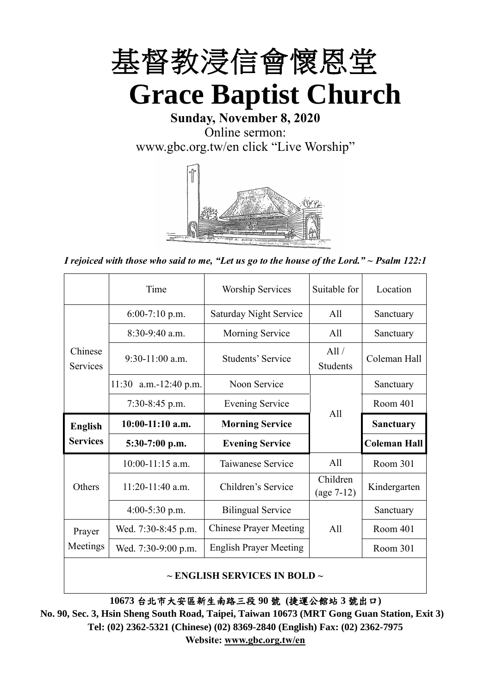

**Sunday, November 8, 2020** Online sermon: [www.gbc.org.tw/en](http://www.gbc.org.tw/en) click "Live Worship"



*I rejoiced with those who said to me, "Let us go to the house of the Lord." ~ Psalm 122:1*

|                            | Time                  | <b>Worship Services</b>       | Suitable for             | Location            |
|----------------------------|-----------------------|-------------------------------|--------------------------|---------------------|
|                            | $6:00-7:10$ p.m.      | <b>Saturday Night Service</b> | All                      | Sanctuary           |
|                            | $8:30-9:40$ a.m.      | Morning Service               | All                      | Sanctuary           |
| Chinese<br><b>Services</b> | $9:30-11:00$ a.m.     | Students' Service             | All /<br><b>Students</b> | Coleman Hall        |
|                            | 11:30 a.m.-12:40 p.m. | Noon Service                  |                          | Sanctuary           |
|                            | $7:30-8:45$ p.m.      | <b>Evening Service</b>        | All                      | Room 401            |
|                            |                       |                               |                          |                     |
| <b>English</b>             | $10:00-11:10$ a.m.    | <b>Morning Service</b>        |                          | <b>Sanctuary</b>    |
| <b>Services</b>            | $5:30-7:00$ p.m.      | <b>Evening Service</b>        |                          | <b>Coleman Hall</b> |
|                            | $10:00-11:15$ a.m.    | Taiwanese Service             | All                      | Room 301            |
| Others                     | $11:20-11:40$ a.m.    | Children's Service            | Children<br>$(age 7-12)$ | Kindergarten        |
|                            | $4:00-5:30$ p.m.      | <b>Bilingual Service</b>      |                          | Sanctuary           |
| Prayer                     | Wed. 7:30-8:45 p.m.   | <b>Chinese Prayer Meeting</b> | A11                      | Room 401            |
| Meetings                   | Wed. 7:30-9:00 p.m.   | <b>English Prayer Meeting</b> |                          | Room 301            |

#### **~ ENGLISH SERVICES IN BOLD ~**

**10673** 台北市大安區新生南路三段 **90** 號 **(**捷運公館站 **3** 號出口**)**

**No. 90, Sec. 3, Hsin Sheng South Road, Taipei, Taiwan 10673 (MRT Gong Guan Station, Exit 3) Tel: (02) 2362-5321 (Chinese) (02) 8369-2840 (English) Fax: (02) 2362-7975 Website: [www.gbc.org.tw/en](http://www.gbc.org.tw/en)**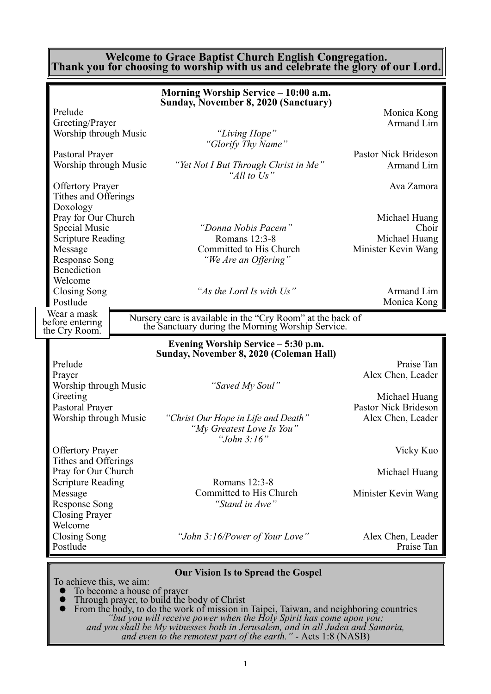#### **Welcome to Grace Baptist Church English Congregation. Thank you for choosing to worship with us and celebrate the glory of our Lord.**

|                                                                                                                                                                                                                                                                                                                    | Morning Worship Service - 10:00 a.m.                                                                                                                                                                                                                                                   |                                                                                                                                                                                       |
|--------------------------------------------------------------------------------------------------------------------------------------------------------------------------------------------------------------------------------------------------------------------------------------------------------------------|----------------------------------------------------------------------------------------------------------------------------------------------------------------------------------------------------------------------------------------------------------------------------------------|---------------------------------------------------------------------------------------------------------------------------------------------------------------------------------------|
| Prelude<br>Greeting/Prayer<br>Worship through Music<br>Pastoral Prayer<br>Worship through Music<br><b>Offertory Prayer</b><br>Tithes and Offerings                                                                                                                                                                 | Sunday, November 8, 2020 (Sanctuary)<br>"Living Hope"<br>"Glorify Thy Name"<br>"Yet Not I But Through Christ in Me"<br>"All to Us"                                                                                                                                                     | Monica Kong<br>Armand Lim<br>Pastor Nick Brideson<br>Armand Lim<br>Ava Zamora                                                                                                         |
| Doxology<br>Pray for Our Church<br>Special Music<br><b>Scripture Reading</b><br>Message<br><b>Response Song</b><br>Benediction<br>Welcome                                                                                                                                                                          | "Donna Nobis Pacem"<br>Romans 12:3-8<br>Committed to His Church<br>"We Are an Offering"                                                                                                                                                                                                | Michael Huang<br>Choir<br>Michael Huang<br>Minister Kevin Wang                                                                                                                        |
| Closing Song<br>Postlude                                                                                                                                                                                                                                                                                           | "As the Lord Is with Us"                                                                                                                                                                                                                                                               | Armand Lim<br>Monica Kong                                                                                                                                                             |
| Wear a mask<br>before entering<br>the Cry Room.                                                                                                                                                                                                                                                                    | Nursery care is available in the "Cry Room" at the back of<br>the Sanctuary during the Morning Worship Service.                                                                                                                                                                        |                                                                                                                                                                                       |
|                                                                                                                                                                                                                                                                                                                    |                                                                                                                                                                                                                                                                                        |                                                                                                                                                                                       |
| Prelude<br>Prayer<br>Worship through Music<br>Greeting<br>Pastoral Prayer<br>Worship through Music<br><b>Offertory Prayer</b><br>Tithes and Offerings<br>Pray for Our Church<br><b>Scripture Reading</b><br>Message<br><b>Response Song</b><br><b>Closing Prayer</b><br>Welcome<br><b>Closing Song</b><br>Postlude | Evening Worship Service – 5:30 p.m.<br>Sunday, November 8, 2020 (Coleman Hall)<br>"Saved My Soul"<br>"Christ Our Hope in Life and Death"<br>"My Greatest Love Is You"<br>"John $3:16"$<br>Romans 12:3-8<br>Committed to His Church<br>"Stand in Awe"<br>"John 3:16/Power of Your Love" | Praise Tan<br>Alex Chen, Leader<br>Michael Huang<br>Pastor Nick Brideson<br>Alex Chen, Leader<br>Vicky Kuo<br>Michael Huang<br>Minister Kevin Wang<br>Alex Chen, Leader<br>Praise Tan |

- ⚫ Through prayer, to build the body of Christ
- ⚫ From the body, to do the work of mission in Taipei, Taiwan, and neighboring countries *"but you will receive power when the Holy Spirit has come upon you; and you shall be My witnesses both in Jerusalem, and in all Judea and Samaria, and even to the remotest part of the earth." -* Acts 1:8 (NASB)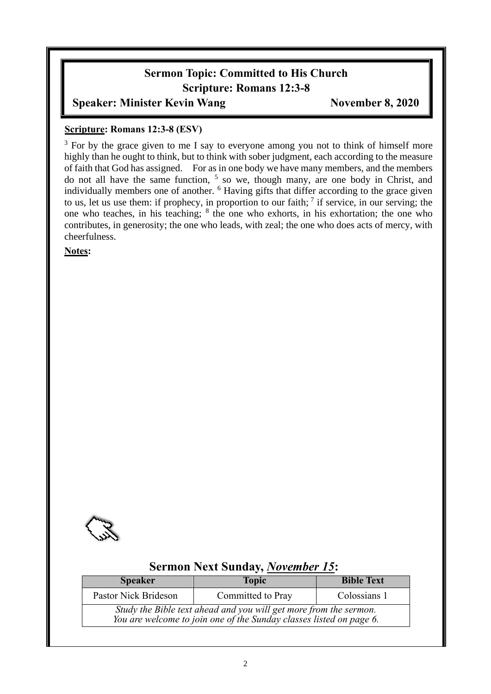## **Sermon Topic: Committed to His Church Scripture: Romans 12:3-8**

#### **Speaker: Minister Kevin Wang** *November 8, 2020*

#### **Scripture: Romans 12:3-8 (ESV)**

<sup>3</sup> For by the grace given to me I say to everyone among you not to think of himself more highly than he ought to think, but to think with sober judgment, each according to the measure of faith that God has assigned. For as in one body we have many members, and the members do not all have the same function,  $5$  so we, though many, are one body in Christ, and individually members one of another. <sup>6</sup> Having gifts that differ according to the grace given to us, let us use them: if prophecy, in proportion to our faith;  $\frac{7}{1}$  if service, in our serving; the one who teaches, in his teaching; <sup>8</sup> the one who exhorts, in his exhortation; the one who contributes, in generosity; the one who leads, with zeal; the one who does acts of mercy, with cheerfulness.

**Notes:**



## **Sermon Next Sunday,** *November 15***:**

| <b>Speaker</b>       | <b>Topic</b>                                                                                                                             | <b>Bible Text</b> |
|----------------------|------------------------------------------------------------------------------------------------------------------------------------------|-------------------|
| Pastor Nick Brideson | Committed to Pray                                                                                                                        | Colossians 1      |
|                      | Study the Bible text ahead and you will get more from the sermon.<br>You are welcome to join one of the Sunday classes listed on page 6. |                   |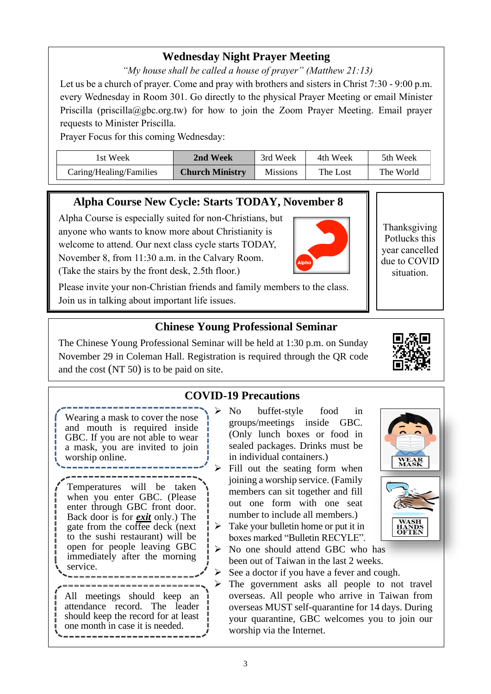## **Wednesday Night Prayer Meeting**

*"My house shall be called a house of prayer" (Matthew 21:13)*

Let us be a church of prayer. Come and pray with brothers and sisters in Christ 7:30 - 9:00 p.m. every Wednesday in Room 301. Go directly to the physical Prayer Meeting or email Minister Priscilla (priscilla@gbc.org.tw) for how to join the Zoom Prayer Meeting. Email prayer requests to Minister Priscilla.

Prayer Focus for this coming Wednesday:

| lst Week-               | 2nd Week               | 3rd Week        | 4th Week | 5th Week  |
|-------------------------|------------------------|-----------------|----------|-----------|
| Caring/Healing/Families | <b>Church Ministry</b> | <b>Missions</b> | The Lost | The World |

## **Alpha Course New Cycle: Starts TODAY, November 8**

Alpha Course is especially suited for non-Christians, but anyone who wants to know more about Christianity is welcome to attend. Our next class cycle starts TODAY, November 8, from 11:30 a.m. in the Calvary Room. (Take the stairs by the front desk, 2.5th floor.)

Please invite your non-Christian friends and family members to the class. Join us in talking about important life issues.

## **Chinese Young Professional Seminar**

The Chinese Young Professional Seminar will be held at 1:30 p.m. on Sunday November 29 in Coleman Hall. Registration is required through the QR code and the cost (NT 50) is to be paid on site.

## **COVID-19 Precautions**

Wearing a mask to cover the nose and mouth is required inside GBC. If you are not able to wear a mask, you are invited to join worship online.

Temperatures will be taken when you enter GBC. (Please enter through GBC front door. Back door is for *exit* only.) The gate from the coffee deck (next to the sushi restaurant) will be open for people leaving GBC immediately after the morning service.

All meetings should keep an attendance record. The leader should keep the record for at least one month in case it is needed.

- No buffet-style food in groups/meetings inside GBC. (Only lunch boxes or food in sealed packages. Drinks must be in individual containers.)
- $\triangleright$  Fill out the seating form when joining a worship service. (Family members can sit together and fill out one form with one seat number to include all members.)
- $\triangleright$  Take your bullet in home or put it in boxes marked "Bulletin RECYLE".
- ➢ No one should attend GBC who has been out of Taiwan in the last 2 weeks.
- $\triangleright$  See a doctor if you have a fever and cough.
- ➢ The government asks all people to not travel overseas. All people who arrive in Taiwan from overseas MUST self-quarantine for 14 days. During your quarantine, GBC welcomes you to join our worship via the Internet.





**WEAR**<br>MASK

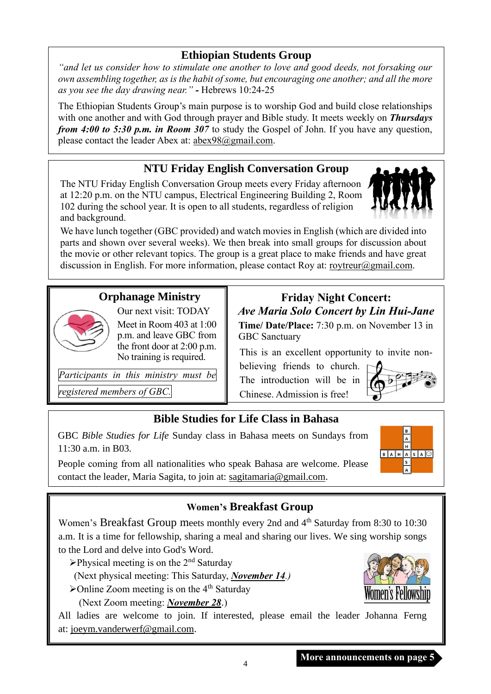### **Ethiopian Students Group**

*"and let us consider how to stimulate one another to love and good deeds, not forsaking our own assembling together, as is the habit of some, but encouraging one another; and all the more as you see the day drawing near." -* Hebrews 10:24-25

The Ethiopian Students Group's main purpose is to worship God and build close relationships with one another and with God through prayer and Bible study. It meets weekly on *Thursdays from 4:00 to 5:30 p.m. in Room 307* to study the Gospel of John. If you have any question, please contact the leader Abex at: [abex98@gmail.com.](mailto:abex98@gmail.com)

### **NTU Friday English Conversation Group**

The NTU Friday English Conversation Group meets every Friday afternoon at 12:20 p.m. on the NTU campus, Electrical Engineering Building 2, Room 102 during the school year. It is open to all students, regardless of religion and background.



### **Orphanage Ministry**



Meet in Room 403 at 1:00 p.m. and leave GBC from the front door at 2:00 p.m. No training is required.

Our next visit: TODAY

*Participants in this ministry must be*

*registered members of GBC.*

# **Friday Night Concert:** *Ave Maria Solo Concert by Lin Hui-Jane*

**Time/ Date/Place:** 7:30 p.m. on November 13 in GBC Sanctuary

This is an excellent opportunity to invite non-

believing friends to church. The introduction will be in Chinese. Admission is free!



B  $\mathsf A$ 

 $\boxed{A \mid S \mid A \cup \}$ 

 $B$  $A$  $H$ 

#### **Bible Studies for Life Class in Bahasa**

GBC *Bible Studies for Life* Sunday class in Bahasa meets on Sundays from 11:30 a.m. in B03.

People coming from all nationalities who speak Bahasa are welcome. Please contact the leader, Maria Sagita, to join at: sagitamaria@gmail.com.

#### **Women's Breakfast Group**

Women's Breakfast Group meets monthly every 2nd and 4<sup>th</sup> Saturday from 8:30 to 10:30 a.m. It is a time for fellowship, sharing a meal and sharing our lives. We sing worship songs to the Lord and delve into God's Word.

 $\triangleright$ Physical meeting is on the 2<sup>nd</sup> Saturday

(Next physical meeting: This Saturday, *November 14.)*

 $\blacktriangleright$ Online Zoom meeting is on the 4<sup>th</sup> Saturday

(Next Zoom meeting: *November 28*.)

All ladies are welcome to join. If interested, please email the leader Johanna Ferng at: [joeym.vanderwerf@gmail.com.](mailto:joeym.vanderwerf@gmail.com)

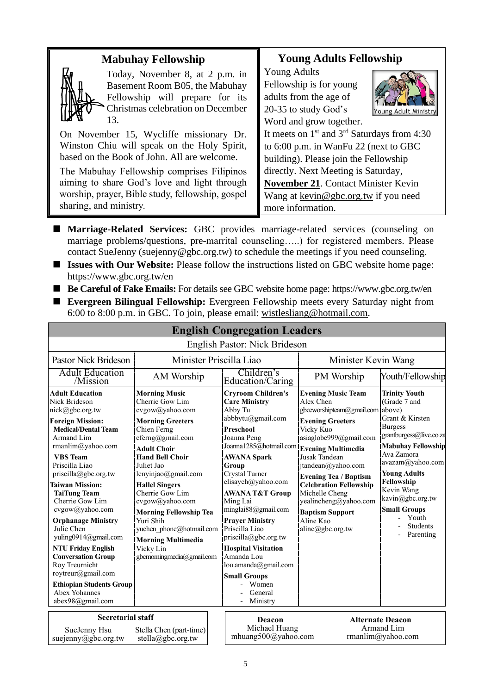| <b>Mabuhay Fellowship</b>                                                                                                                                                                                                                                                                                                                                                                                                                   | <b>Young Adults Fellowship</b>                                                                                                                                                                                                                                                                                                                                                                                 |  |  |
|---------------------------------------------------------------------------------------------------------------------------------------------------------------------------------------------------------------------------------------------------------------------------------------------------------------------------------------------------------------------------------------------------------------------------------------------|----------------------------------------------------------------------------------------------------------------------------------------------------------------------------------------------------------------------------------------------------------------------------------------------------------------------------------------------------------------------------------------------------------------|--|--|
| Today, November 8, at 2 p.m. in<br>Basement Room B05, the Mabuhay<br>Fellowship will prepare for its<br>Christmas celebration on December<br>13.<br>On November 15, Wycliffe missionary Dr.<br>Winston Chiu will speak on the Holy Spirit,<br>based on the Book of John. All are welcome.<br>The Mabuhay Fellowship comprises Filipinos<br>aiming to share God's love and light through<br>worship, prayer, Bible study, fellowship, gospel | <b>Young Adults</b><br>Fellowship is for young<br>adults from the age of<br>20-35 to study God's<br>Young Adult Ministry<br>Word and grow together.<br>It meets on $1st$ and $3rd$ Saturdays from 4:30<br>to 6:00 p.m. in WanFu 22 (next to GBC<br>building). Please join the Fellowship<br>directly. Next Meeting is Saturday,<br>November 21. Contact Minister Kevin<br>Wang at kevin@gbc.org.tw if you need |  |  |
| sharing, and ministry.                                                                                                                                                                                                                                                                                                                                                                                                                      | more information.                                                                                                                                                                                                                                                                                                                                                                                              |  |  |

- Marriage-Related Services: GBC provides marriage-related services (counseling on marriage problems/questions, pre-marrital counseling…..) for registered members. Please contact SueJenny (suejenny@gbc.org.tw) to schedule the meetings if you need counseling.
- **Issues with Our Website:** Please follow the instructions listed on GBC website home page: https://www.gbc.org.tw/en
- Be Careful of Fake Emails: For details see GBC website home page: https://www.gbc.org.tw/en
- **Evergreen Bilingual Fellowship:** Evergreen Fellowship meets every Saturday night from 6:00 to 8:00 p.m. in GBC. To join, please email: [wistlesliang@hotmail.com.](mailto:wistlesliang@hotmail.com)

| <b>English Congregation Leaders</b>                                                                                                                                                                                                                                                                                                                                                                                                                                                                                                                                 |                                                                                                                                                                                                                                                                                                                                                                                                                               |                                                                                                                                                                                                                                                                                                                                                                                                                                                                                        |                                                                                                                                                                                                                                                                                                                                                                        |                                                                                                                                                                                                                                                                                                           |  |
|---------------------------------------------------------------------------------------------------------------------------------------------------------------------------------------------------------------------------------------------------------------------------------------------------------------------------------------------------------------------------------------------------------------------------------------------------------------------------------------------------------------------------------------------------------------------|-------------------------------------------------------------------------------------------------------------------------------------------------------------------------------------------------------------------------------------------------------------------------------------------------------------------------------------------------------------------------------------------------------------------------------|----------------------------------------------------------------------------------------------------------------------------------------------------------------------------------------------------------------------------------------------------------------------------------------------------------------------------------------------------------------------------------------------------------------------------------------------------------------------------------------|------------------------------------------------------------------------------------------------------------------------------------------------------------------------------------------------------------------------------------------------------------------------------------------------------------------------------------------------------------------------|-----------------------------------------------------------------------------------------------------------------------------------------------------------------------------------------------------------------------------------------------------------------------------------------------------------|--|
|                                                                                                                                                                                                                                                                                                                                                                                                                                                                                                                                                                     |                                                                                                                                                                                                                                                                                                                                                                                                                               | English Pastor: Nick Brideson                                                                                                                                                                                                                                                                                                                                                                                                                                                          |                                                                                                                                                                                                                                                                                                                                                                        |                                                                                                                                                                                                                                                                                                           |  |
| Minister Priscilla Liao<br><b>Pastor Nick Brideson</b>                                                                                                                                                                                                                                                                                                                                                                                                                                                                                                              |                                                                                                                                                                                                                                                                                                                                                                                                                               |                                                                                                                                                                                                                                                                                                                                                                                                                                                                                        | Minister Kevin Wang                                                                                                                                                                                                                                                                                                                                                    |                                                                                                                                                                                                                                                                                                           |  |
| <b>Adult Education</b><br>/Mission                                                                                                                                                                                                                                                                                                                                                                                                                                                                                                                                  | AM Worship                                                                                                                                                                                                                                                                                                                                                                                                                    | Children's<br><b>Education/Caring</b>                                                                                                                                                                                                                                                                                                                                                                                                                                                  | PM Worship                                                                                                                                                                                                                                                                                                                                                             | Youth/Fellowship                                                                                                                                                                                                                                                                                          |  |
| <b>Adult Education</b><br>Nick Brideson<br>nick@gbc.org.tw<br><b>Foreign Mission:</b><br><b>Medical/Dental Team</b><br>Armand Lim<br>rmanlim@yahoo.com<br><b>VBS</b> Team<br>Priscilla Liao<br>$priscilla(\partial gbc.org.tw)$<br><b>Taiwan Mission:</b><br><b>TaiTung Team</b><br>Cherrie Gow Lim<br>cvgow@yahoo.com<br><b>Orphanage Ministry</b><br>Julie Chen<br>yuling0914@gmail.com<br><b>NTU Friday English</b><br><b>Conversation Group</b><br>Roy Treurnicht<br>roytreur@gmail.com<br><b>Ethiopian Students Group</b><br>Abex Yohannes<br>abex98@gmail.com | <b>Morning Music</b><br>Cherrie Gow Lim<br>cvgow@yahoo.com<br><b>Morning Greeters</b><br>Chien Ferng<br>cferng@gmail.com<br><b>Adult Choir</b><br><b>Hand Bell Choir</b><br>Juliet Jao<br>lenyinjao@gmail.com<br><b>Hallel Singers</b><br>Cherrie Gow Lim<br>cvgow@yahoo.com<br><b>Morning Fellowship Tea</b><br>Yuri Shih<br>yuchen phone@hotmail.com<br><b>Morning Multimedia</b><br>Vicky Lin<br>gbcmorningmedia@gmail.com | <b>Cryroom Children's</b><br><b>Care Ministry</b><br>Abby Tu<br>abbbytu@gmail.com<br>Preschool<br>Joanna Peng<br>Joanna1285@hotmail.com Evening Multimedia<br><b>AWANA Spark</b><br>Group<br>Crystal Turner<br>elisayeh@yahoo.com<br>AWANA T&T Group<br>Ming Lai<br>minglai88@gmail.com<br><b>Prayer Ministry</b><br>Priscilla Liao<br>priscilla@gbc.org.tw<br><b>Hospital Visitation</b><br>Amanda Lou<br>lou.amanda@gmail.com<br><b>Small Groups</b><br>Women<br>General<br>Ministry | <b>Evening Music Team</b><br>Alex Chen<br>gbceworshipteam@gmail.com above)<br><b>Evening Greeters</b><br>Vicky Kuo<br>asiaglobe999@gmail.com<br>Jusak Tandean<br>jtandean@yahoo.com<br><b>Evening Tea / Baptism</b><br><b>Celebration Fellowship</b><br>Michelle Cheng<br>yealincheng@yahoo.com<br><b>Baptism Support</b><br>Aline Kao<br>$aline(\partial gbc.org.tw)$ | <b>Trinity Youth</b><br>Grade 7 and<br>Grant & Kirsten<br><b>Burgess</b><br>grantburgess@live.co.za<br><b>Mabuhay Fellowship</b><br>Ava Zamora<br>avazam@yahoo.com<br><b>Young Adults</b><br>Fellowship<br>Kevin Wang<br>kavin@gbc.org.tw<br><b>Small Groups</b><br>Youth<br><b>Students</b><br>Parenting |  |
| <b>Secretarial staff</b><br>SueJenny Hsu<br>suejenny@gbc.org.tw                                                                                                                                                                                                                                                                                                                                                                                                                                                                                                     | Stella Chen (part-time)<br>stella@gbc.org.tw                                                                                                                                                                                                                                                                                                                                                                                  | <b>Deacon</b><br>Michael Huang<br>mhuang500@yahoo.com                                                                                                                                                                                                                                                                                                                                                                                                                                  |                                                                                                                                                                                                                                                                                                                                                                        | <b>Alternate Deacon</b><br>Armand Lim<br>rmanlim@yahoo.com                                                                                                                                                                                                                                                |  |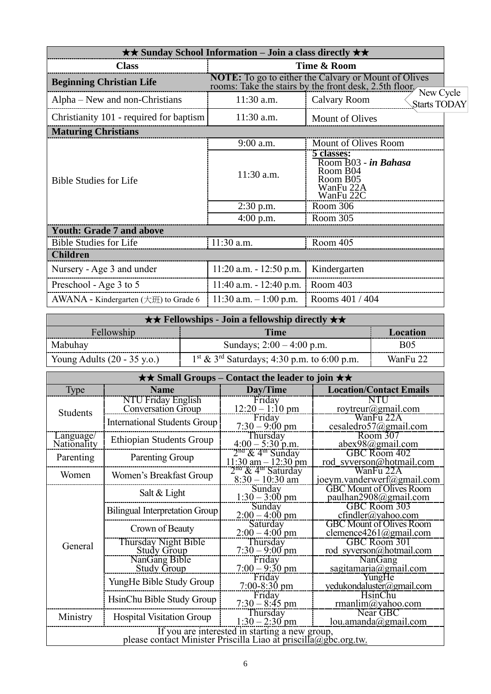| $\star\star$ Sunday School Information – Join a class directly $\star\star$ |                            |                                                                                                                       |  |  |
|-----------------------------------------------------------------------------|----------------------------|-----------------------------------------------------------------------------------------------------------------------|--|--|
| <b>Class</b>                                                                | Time & Room                |                                                                                                                       |  |  |
| <b>Beginning Christian Life</b>                                             |                            | <b>NOTE:</b> To go to either the Calvary or Mount of Olives<br>rooms: Take the stairs by the front desk, 2.5th floor, |  |  |
| Alpha – New and non-Christians                                              | 11:30 a.m.                 | New Cycle<br><b>Calvary Room</b><br>Starts TODAY                                                                      |  |  |
| Christianity 101 - required for baptism                                     | 11:30 a.m.                 | Mount of Olives                                                                                                       |  |  |
| <b>Maturing Christians</b>                                                  |                            |                                                                                                                       |  |  |
|                                                                             | $9:00$ a.m.                | Mount of Olives Room                                                                                                  |  |  |
| <b>Bible Studies for Life</b>                                               | 11:30 a.m.                 | 5 classes:<br>Room B03 - in Bahasa<br>Room B04<br>Room B05<br>WanFu 22A<br>WanFu 22C                                  |  |  |
|                                                                             | $2:30$ p.m.                | Room 306                                                                                                              |  |  |
|                                                                             | $4:00$ p.m.                | Room 305                                                                                                              |  |  |
| <b>Youth: Grade 7 and above</b>                                             |                            |                                                                                                                       |  |  |
| <b>Bible Studies for Life</b>                                               | $11:30$ a.m.               | Room 405                                                                                                              |  |  |
| <b>Children</b>                                                             |                            |                                                                                                                       |  |  |
| Nursery - Age 3 and under                                                   | $11:20$ a.m. $-12:50$ p.m. | Kindergarten                                                                                                          |  |  |
| Preschool - Age 3 to 5                                                      | $11:40$ a.m. $-12:40$ p.m. | Room 403                                                                                                              |  |  |
| AWANA - Kindergarten $(\pm \text{H})$ to Grade 6                            | $11:30$ a.m. $-1:00$ p.m.  | Rooms 401 / 404                                                                                                       |  |  |

| <b>★★ Fellowships - Join a fellowship directly ★★</b> |                                                           |            |  |
|-------------------------------------------------------|-----------------------------------------------------------|------------|--|
| Fellowship<br>Time<br>Location                        |                                                           |            |  |
| Mabuhay                                               | Sundays; $2:00 - 4:00$ p.m.                               | <b>B05</b> |  |
| Young Adults $(20 - 35 \text{ y.o.})$                 | $1st$ & 3 <sup>rd</sup> Saturdays; 4:30 p.m. to 6:00 p.m. | WanFu 22   |  |

|                          | $\star\star$ Small Groups – Contact the leader to join $\star\star$                                               |                                                                 |                                                           |  |  |  |  |
|--------------------------|-------------------------------------------------------------------------------------------------------------------|-----------------------------------------------------------------|-----------------------------------------------------------|--|--|--|--|
| <b>Type</b>              | <b>Name</b>                                                                                                       | Day/Time                                                        | <b>Location/Contact Emails</b>                            |  |  |  |  |
| <b>Students</b>          | <b>NTU Friday English</b><br>Conversation Group                                                                   | Friday<br>$12:20 - 1:10$ pm                                     | NTU<br>roytreur@gmail.com                                 |  |  |  |  |
|                          | <b>International Students Group</b>                                                                               | Friday<br>$7:30 - 9:00 \text{ pm}$                              | WanFu 22A<br>cesaledro57@gmail.com                        |  |  |  |  |
| Language/<br>Nationality | <b>Ethiopian Students Group</b>                                                                                   | Thursday<br>$4:00 - 5:30$ p.m.                                  | Room 307<br>$abex98$ @gmail.com                           |  |  |  |  |
| Parenting                | Parenting Group                                                                                                   | $2na$ & 4 <sup>m</sup> Sunday<br>$11:30$ am $-12:30$ pm         | GBC Room 402<br>rod_syverson@hotmail.com                  |  |  |  |  |
| Women                    | Women's Breakfast Group                                                                                           | 2 <sup>na</sup> & 4 <sup>th</sup> Saturday<br>$8:30 - 10:30$ am | WanFu 22A<br>$j$ oeym.vanderwerf $\omega$ gmail.com       |  |  |  |  |
|                          | Salt & Light                                                                                                      | Sunday<br>$1:30 - 3:00$ pm                                      | <b>GBC Mount of Olives Room</b><br>paulhan2908@gmail.com  |  |  |  |  |
|                          | <b>Bilingual Interpretation Group</b>                                                                             | Sunday<br>$2:00 - 4:00$ pm                                      | GBC Room 303<br>$cfindler(a)$ yahoo.com                   |  |  |  |  |
|                          | Crown of Beauty                                                                                                   | <b>Saturday</b><br>$2:00 - 4:00$ pm                             | <b>GBC Mount of Olives Room</b><br>clemence4261@gmail.com |  |  |  |  |
| General                  | Thursday Night Bible<br><b>Study Group</b>                                                                        | Thursday<br>$7:30 - 9:00$ pm                                    | GBC Room 301<br>rod syverson@hotmail.com                  |  |  |  |  |
|                          | NanGang Bible<br><b>Study Group</b>                                                                               | Friday<br>$7:00 - 9:30$ pm                                      | <b>NanGang</b><br>sagitamaria@gmail.com                   |  |  |  |  |
|                          | YungHe Bible Study Group                                                                                          | Friday<br>$7:00-8:30$ pm                                        | YungHe<br>yedukondaluster@gmail.com                       |  |  |  |  |
|                          | HsinChu Bible Study Group                                                                                         | Friday<br>$7:30 - 8:45$ pm                                      | HsinChu<br>rmanlim@yahoo.com                              |  |  |  |  |
| Ministry                 | <b>Hospital Visitation Group</b>                                                                                  | Thursday<br>$1:30 - 2:30$ pm                                    | Near GBC<br>lou.amanda@gmail.com                          |  |  |  |  |
|                          | If you are interested in starting a new group,<br>please contact Minister Priscilla Liao at priscilla@gbc.org.tw. |                                                                 |                                                           |  |  |  |  |